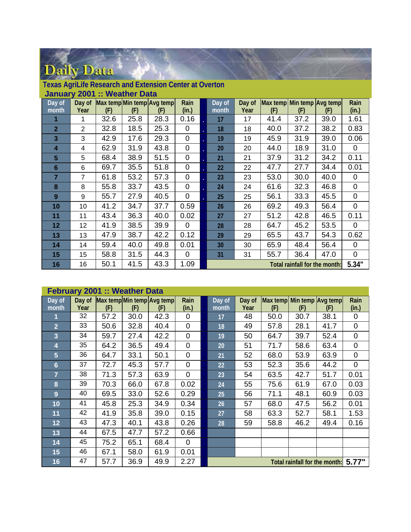## Daily Data

|                |                | January 2001 :: Weather Data |      |      |             |        |        |                            |                               |      |             |
|----------------|----------------|------------------------------|------|------|-------------|--------|--------|----------------------------|-------------------------------|------|-------------|
| Day of         | Day of         | Max temp Min temp Avg temp   |      |      | Rain        | Day of | Day of | Max temp Min temp Avg temp |                               |      | Rain        |
| month          | Year           | (F)                          | (F)  | (F)  | (in.)       | month  | Year   | (F)                        | (F)                           | (F)  | (in.)       |
| 1              | 1              | 32.6                         | 25.8 | 28.3 | 0.16        | 17     | 17     | 41.4                       | 37.2                          | 39.0 | 1.61        |
| $\overline{2}$ | $\overline{2}$ | 32.8                         | 18.5 | 25.3 | 0           | 18     | 18     | 40.0                       | 37.2                          | 38.2 | 0.83        |
| 3              | 3              | 42.9                         | 17.6 | 29.3 | 0           | 19     | 19     | 45.9                       | 31.9                          | 39.0 | 0.06        |
| 4              | 4              | 62.9                         | 31.9 | 43.8 | 0           | 20     | 20     | 44.0                       | 18.9                          | 31.0 | 0           |
| 5              | 5              | 68.4                         | 38.9 | 51.5 | 0           | 21     | 21     | 37.9                       | 31.2                          | 34.2 | 0.11        |
| 6              | 6              | 69.7                         | 35.5 | 51.8 | 0           | 22     | 22     | 47.7                       | 27.7                          | 34.4 | 0.01        |
| 7              | $\overline{7}$ | 61.8                         | 53.2 | 57.3 | 0           | 23     | 23     | 53.0                       | 30.0                          | 40.0 | 0           |
| 8              | 8              | 55.8                         | 33.7 | 43.5 | $\mathbf 0$ | 24     | 24     | 61.6                       | 32.3                          | 46.8 | $\mathbf 0$ |
| 9              | 9              | 55.7                         | 27.9 | 40.5 | 0           | 25     | 25     | 56.1                       | 33.3                          | 45.5 | 0           |
| 10             | 10             | 41.2                         | 34.7 | 37.7 | 0.59        | 26     | 26     | 69.2                       | 49.3                          | 56.4 | 0           |
| 11             | 11             | 43.4                         | 36.3 | 40.0 | 0.02        | 27     | 27     | 51.2                       | 42.8                          | 46.5 | 0.11        |
| 12             | 12             | 41.9                         | 38.5 | 39.9 | 0           | 28     | 28     | 64.7                       | 45.2                          | 53.5 | 0           |
| 13             | 13             | 47.9                         | 38.7 | 42.2 | 0.12        | 29     | 29     | 65.5                       | 43.7                          | 54.3 | 0.62        |
| 14             | 14             | 59.4                         | 40.0 | 49.8 | 0.01        | 30     | 30     | 65.9                       | 48.4                          | 56.4 | 0           |
| 15             | 15             | 58.8                         | 31.5 | 44.3 | 0           | 31     | 31     | 55.7                       | 36.4                          | 47.0 | 0           |
| 16             | 16             | 50.1                         | 41.5 | 43.3 | 1.09        |        |        |                            | Total rainfall for the month: |      | 5.34"       |

|  |  |  | Texas AgriLife Research and Extension Center at Overton |  |
|--|--|--|---------------------------------------------------------|--|

|                |        | <b>February 2001 :: Weather Data</b> |      |                            |                |        |        |                            |                               |      |             |
|----------------|--------|--------------------------------------|------|----------------------------|----------------|--------|--------|----------------------------|-------------------------------|------|-------------|
| Day of         | Day of |                                      |      | Max temp Min temp Avg temp | Rain           | Day of | Day of | Max temp Min temp Avg temp |                               |      | Rain        |
| month          | Year   | (F)                                  | (F)  | (F)                        | (in.)          | month  | Year   | (F)                        | (F)                           | (F)  | (in.)       |
|                | 32     | 57.2                                 | 30.0 | 42.3                       | $\mathbf 0$    | 17     | 48     | 50.0                       | 30.7                          | 38.1 | 0           |
| $\overline{2}$ | 33     | 50.6                                 | 32.8 | 40.4                       | $\overline{0}$ | 18     | 49     | 57.8                       | 28.1                          | 41.7 | 0           |
| 3              | 34     | 59.7                                 | 27.4 | 42.2                       | $\mathbf 0$    | 19     | 50     | 64.7                       | 39.7                          | 52.4 | 0           |
| 4              | 35     | 64.2                                 | 36.5 | 49.4                       | $\mathbf 0$    | 20     | 51     | 71.7                       | 58.6                          | 63.4 | $\mathbf 0$ |
| 5              | 36     | 64.7                                 | 33.1 | 50.1                       | $\mathbf 0$    | 21     | 52     | 68.0                       | 53.9                          | 63.9 | $\mathsf 0$ |
| 6              | 37     | 72.7                                 | 45.3 | 57.7                       | $\mathbf 0$    | 22     | 53     | 52.3                       | 35.6                          | 44.2 | $\pmb{0}$   |
| 7              | 38     | 71.3                                 | 57.3 | 63.9                       | $\mathbf 0$    | 23     | 54     | 63.5                       | 42.7                          | 51.7 | 0.01        |
| 8              | 39     | 70.3                                 | 66.0 | 67.8                       | 0.02           | 24     | 55     | 75.6                       | 61.9                          | 67.0 | 0.03        |
| 9              | 40     | 69.5                                 | 33.0 | 52.6                       | 0.29           | 25     | 56     | 71.1                       | 48.1                          | 60.9 | 0.03        |
| 10             | 41     | 45.8                                 | 25.3 | 34.9                       | 0.34           | 26     | 57     | 68.0                       | 47.5                          | 56.2 | 0.01        |
| 11             | 42     | 41.9                                 | 35.8 | 39.0                       | 0.15           | 27     | 58     | 63.3                       | 52.7                          | 58.1 | 1.53        |
| 12             | 43     | 47.3                                 | 40.1 | 43.8                       | 0.26           | 28     | 59     | 58.8                       | 46.2                          | 49.4 | 0.16        |
| 13             | 44     | 67.5                                 | 47.7 | 57.2                       | 0.66           |        |        |                            |                               |      |             |
| 14             | 45     | 75.2                                 | 65.1 | 68.4                       | $\mathbf 0$    |        |        |                            |                               |      |             |
| 15             | 46     | 67.1                                 | 58.0 | 61.9                       | 0.01           |        |        |                            |                               |      |             |
| 16             | 47     | 57.7                                 | 36.9 | 49.9                       | 2.27           |        |        |                            | Total rainfall for the month: |      | 5.77"       |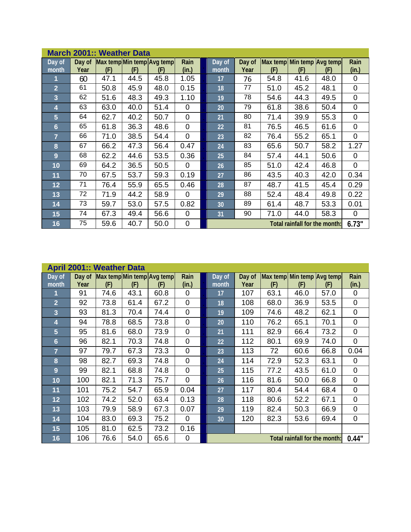|                 |      | <b>March 2001:: Weather Data</b> |      |                                          |                |                 |                |                                   |                               |      |                |
|-----------------|------|----------------------------------|------|------------------------------------------|----------------|-----------------|----------------|-----------------------------------|-------------------------------|------|----------------|
| Day of<br>month | Year | (F)                              | (F)  | Day of Max temp Min temp Avg temp<br>(F) | Rain<br>(in.)  | Day of<br>month | Day of<br>Year | Max temp Min temp Avg temp<br>(F) | (F)                           | (F)  | Rain<br>(in.)  |
| 1               | 60   | 47.1                             | 44.5 | 45.8                                     | 1.05           | 17              | 76             | 54.8                              | 41.6                          | 48.0 | $\mathbf 0$    |
| $\overline{2}$  | 61   | 50.8                             | 45.9 | 48.0                                     | 0.15           | 18              | 77             | 51.0                              | 45.2                          | 48.1 | $\mathbf 0$    |
| $\overline{3}$  | 62   | 51.6                             | 48.3 | 49.3                                     | 1.10           | 19              | 78             | 54.6                              | 44.3                          | 49.5 | $\mathbf 0$    |
| 4               | 63   | 63.0                             | 40.0 | 51.4                                     | 0              | 20              | 79             | 61.8                              | 38.6                          | 50.4 | $\mathbf 0$    |
| $5\phantom{.}$  | 64   | 62.7                             | 40.2 | 50.7                                     | $\Omega$       | 21              | 80             | 71.4                              | 39.9                          | 55.3 | $\mathbf 0$    |
| $6\phantom{1}$  | 65   | 61.8                             | 36.3 | 48.6                                     | $\overline{0}$ | 22              | 81             | 76.5                              | 46.5                          | 61.6 | $\mathbf 0$    |
| $\overline{7}$  | 66   | 71.0                             | 38.5 | 54.4                                     | $\Omega$       | 23              | 82             | 76.4                              | 55.2                          | 65.1 | $\mathbf 0$    |
| 8               | 67   | 66.2                             | 47.3 | 56.4                                     | 0.47           | 24              | 83             | 65.6                              | 50.7                          | 58.2 | 1.27           |
| 9               | 68   | 62.2                             | 44.6 | 53.5                                     | 0.36           | 25              | 84             | 57.4                              | 44.1                          | 50.6 | $\mathbf 0$    |
| 10              | 69   | 64.2                             | 36.5 | 50.5                                     | $\Omega$       | 26              | 85             | 51.0                              | 42.4                          | 46.8 | $\overline{0}$ |
| 11              | 70   | 67.5                             | 53.7 | 59.3                                     | 0.19           | 27              | 86             | 43.5                              | 40.3                          | 42.0 | 0.34           |
| 12              | 71   | 76.4                             | 55.9 | 65.5                                     | 0.46           | 28              | 87             | 48.7                              | 41.5                          | 45.4 | 0.29           |
| 13              | 72   | 71.9                             | 44.2 | 58.9                                     | $\overline{0}$ | 29              | 88             | 52.4                              | 48.4                          | 49.8 | 0.22           |
| 14              | 73   | 59.7                             | 53.0 | 57.5                                     | 0.82           | 30 <sup>°</sup> | 89             | 61.4                              | 48.7                          | 53.3 | 0.01           |
| 15              | 74   | 67.3                             | 49.4 | 56.6                                     | $\Omega$       | 31              | 90             | 71.0                              | 44.0                          | 58.3 | $\mathbf 0$    |
| 16              | 75   | 59.6                             | 40.7 | 50.0                                     | $\mathbf 0$    |                 |                |                                   | Total rainfall for the month: |      | 6.73"          |

|                 |        | <b>April 2001:: Weather Data</b> |      |                            |                |                 |        |                            |                               |      |                |
|-----------------|--------|----------------------------------|------|----------------------------|----------------|-----------------|--------|----------------------------|-------------------------------|------|----------------|
| Day of          | Day of |                                  |      | Max temp Min temp Avg temp | Rain           | Day of          | Day of | Max temp Min temp Avg temp |                               |      | Rain           |
| month           | Year   | (F)                              | (F)  | (F)                        | (in.)          | month           | Year   | (F)                        | (F)                           | (F)  | (in.)          |
|                 | 91     | 74.6                             | 43.1 | 60.8                       | 0              | 17              | 107    | 63.1                       | 46.0                          | 57.0 | 0              |
| $\overline{2}$  | 92     | 73.8                             | 61.4 | 67.2                       | $\overline{0}$ | 18              | 108    | 68.0                       | 36.9                          | 53.5 | $\mathbf 0$    |
| $\overline{3}$  | 93     | 81.3                             | 70.4 | 74.4                       | $\overline{0}$ | 19              | 109    | 74.6                       | 48.2                          | 62.1 | $\mathbf 0$    |
| 4               | 94     | 78.8                             | 68.5 | 73.8                       | $\overline{0}$ | 20              | 110    | 76.2                       | 65.1                          | 70.1 | $\mathbf 0$    |
| 5               | 95     | 81.6                             | 68.0 | 73.9                       | $\overline{0}$ | 21              | 111    | 82.9                       | 66.4                          | 73.2 | $\mathbf 0$    |
| $6\phantom{1}6$ | 96     | 82.1                             | 70.3 | 74.8                       | $\overline{0}$ | 22              | 112    | 80.1                       | 69.9                          | 74.0 | $\mathbf{0}$   |
| $\overline{7}$  | 97     | 79.7                             | 67.3 | 73.3                       | $\overline{0}$ | 23              | 113    | 72                         | 60.6                          | 66.8 | 0.04           |
| 8               | 98     | 82.7                             | 69.3 | 74.8                       | $\overline{0}$ | 24              | 114    | 72.9                       | 52.3                          | 63.1 | $\mathbf 0$    |
| 9               | 99     | 82.1                             | 68.8 | 74.8                       | $\overline{0}$ | 25              | 115    | 77.2                       | 43.5                          | 61.0 | $\mathbf 0$    |
| 10              | 100    | 82.1                             | 71.3 | 75.7                       | $\overline{0}$ | 26              | 116    | 81.6                       | 50.0                          | 66.8 | $\mathbf 0$    |
| 11              | 101    | 75.2                             | 54.7 | 65.9                       | 0.04           | 27              | 117    | 80.4                       | 54.4                          | 68.4 | $\mathbf 0$    |
| 12              | 102    | 74.2                             | 52.0 | 63.4                       | 0.13           | 28              | 118    | 80.6                       | 52.2                          | 67.1 | $\mathbf 0$    |
| 13              | 103    | 79.9                             | 58.9 | 67.3                       | 0.07           | 29              | 119    | 82.4                       | 50.3                          | 66.9 | $\overline{0}$ |
| 14              | 104    | 83.0                             | 69.3 | 75.2                       | 0              | 30 <sup>°</sup> | 120    | 82.3                       | 53.6                          | 69.4 | $\mathbf 0$    |
| 15              | 105    | 81.0                             | 62.5 | 73.2                       | 0.16           |                 |        |                            |                               |      |                |
| 16              | 106    | 76.6                             | 54.0 | 65.6                       | $\mathbf 0$    |                 |        |                            | Total rainfall for the month: |      | 0.44"          |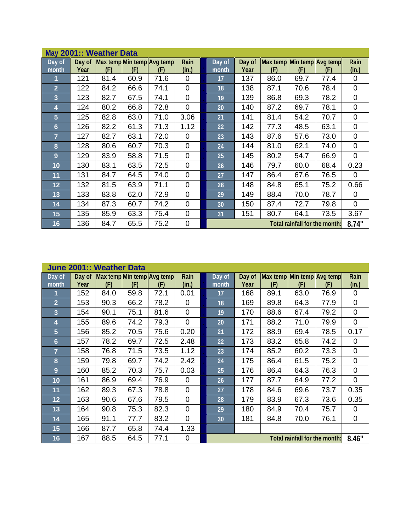|                 |      | May 2001:: Weather Data |      |                                          |                |                 |                |                                   |                               |      |                |
|-----------------|------|-------------------------|------|------------------------------------------|----------------|-----------------|----------------|-----------------------------------|-------------------------------|------|----------------|
| Day of<br>month | Year | (F)                     | (F)  | Day of Max temp Min temp Avg temp<br>(F) | Rain<br>(in.)  | Day of<br>month | Day of<br>Year | Max temp Min temp Avg temp<br>(F) | (F)                           | (F)  | Rain<br>(in.)  |
| 1               | 121  | 81.4                    | 60.9 | 71.6                                     | 0              | 17              | 137            | 86.0                              | 69.7                          | 77.4 | $\mathbf 0$    |
| $\overline{2}$  | 122  | 84.2                    | 66.6 | 74.1                                     | $\Omega$       | 18              | 138            | 87.1                              | 70.6                          | 78.4 | $\mathbf 0$    |
| $\overline{3}$  | 123  | 82.7                    | 67.5 | 74.1                                     | $\Omega$       | 19              | 139            | 86.8                              | 69.3                          | 78.2 | $\mathbf 0$    |
| 4               | 124  | 80.2                    | 66.8 | 72.8                                     | $\overline{0}$ | 20              | 140            | 87.2                              | 69.7                          | 78.1 | $\mathbf 0$    |
| $5\phantom{.}$  | 125  | 82.8                    | 63.0 | 71.0                                     | 3.06           | 21              | 141            | 81.4                              | 54.2                          | 70.7 | $\mathbf 0$    |
| $6\phantom{1}$  | 126  | 82.2                    | 61.3 | 71.3                                     | 1.12           | 22              | 142            | 77.3                              | 48.5                          | 63.1 | $\mathbf 0$    |
| $\overline{7}$  | 127  | 82.7                    | 63.1 | 72.0                                     | $\Omega$       | 23              | 143            | 87.6                              | 57.6                          | 73.0 | $\mathbf 0$    |
| 8               | 128  | 80.6                    | 60.7 | 70.3                                     | $\overline{0}$ | 24              | 144            | 81.0                              | 62.1                          | 74.0 | $\mathbf 0$    |
| 9               | 129  | 83.9                    | 58.8 | 71.5                                     | $\overline{0}$ | 25              | 145            | 80.2                              | 54.7                          | 66.9 | $\mathbf 0$    |
| 10              | 130  | 83.1                    | 63.5 | 72.5                                     | $\Omega$       | 26              | 146            | 79.7                              | 60.0                          | 68.4 | 0.23           |
| 11              | 131  | 84.7                    | 64.5 | 74.0                                     | $\overline{0}$ | 27              | 147            | 86.4                              | 67.6                          | 76.5 | $\overline{0}$ |
| 12              | 132  | 81.5                    | 63.9 | 71.1                                     | $\overline{0}$ | 28              | 148            | 84.8                              | 65.1                          | 75.2 | 0.66           |
| 13              | 133  | 83.8                    | 62.0 | 72.9                                     | $\overline{0}$ | 29              | 149            | 88.4                              | 70.0                          | 78.7 | $\mathbf 0$    |
| 14              | 134  | 87.3                    | 60.7 | 74.2                                     | $\overline{0}$ | 30 <sup>°</sup> | 150            | 87.4                              | 72.7                          | 79.8 | $\mathbf 0$    |
| 15              | 135  | 85.9                    | 63.3 | 75.4                                     | $\overline{0}$ | 31              | 151            | 80.7                              | 64.1                          | 73.5 | 3.67           |
| 16              | 136  | 84.7                    | 65.5 | 75.2                                     | $\overline{0}$ |                 |                |                                   | Total rainfall for the month: |      | 8.74"          |

|                 |                | June 2001:: Weather Data |      |                                   |                |                 |                |                                   |                               |      |                |
|-----------------|----------------|--------------------------|------|-----------------------------------|----------------|-----------------|----------------|-----------------------------------|-------------------------------|------|----------------|
| Day of<br>month | Day of<br>Year | (F)                      | (F)  | Max temp Min temp Avg temp<br>(F) | Rain<br>(in.)  | Day of<br>month | Day of<br>Year | Max temp Min temp Avg temp<br>(F) | (F)                           | (F)  | Rain<br>(in.)  |
| 1               | 152            | 84.0                     | 59.8 | 72.1                              | 0.01           | 17              | 168            | 89.1                              | 63.0                          | 76.9 | $\mathbf 0$    |
| $\overline{2}$  | 153            | 90.3                     | 66.2 | 78.2                              | $\overline{0}$ | 18              | 169            | 89.8                              | 64.3                          | 77.9 | $\mathbf 0$    |
| $\overline{3}$  | 154            | 90.1                     | 75.1 | 81.6                              | $\overline{0}$ | 19              | 170            | 88.6                              | 67.4                          | 79.2 | $\mathbf 0$    |
| 4               | 155            | 89.6                     | 74.2 | 79.3                              | $\overline{0}$ | 20              | 171            | 88.2                              | 71.0                          | 79.9 | $\overline{0}$ |
| 5               | 156            | 85.2                     | 70.5 | 75.6                              | 0.20           | 21              | 172            | 88.9                              | 69.4                          | 78.5 | 0.17           |
| $6\phantom{1}$  | 157            | 78.2                     | 69.7 | 72.5                              | 2.48           | 22              | 173            | 83.2                              | 65.8                          | 74.2 | $\mathbf 0$    |
| $\overline{7}$  | 158            | 76.8                     | 71.5 | 73.5                              | 1.12           | 23              | 174            | 85.2                              | 60.2                          | 73.3 | $\mathbf 0$    |
| 8               | 159            | 79.8                     | 69.7 | 74.2                              | 2.42           | 24              | 175            | 86.4                              | 61.5                          | 75.2 | $\mathbf 0$    |
| 9               | 160            | 85.2                     | 70.3 | 75.7                              | 0.03           | 25              | 176            | 86.4                              | 64.3                          | 76.3 | $\overline{0}$ |
| 10              | 161            | 86.9                     | 69.4 | 76.9                              | 0              | 26              | 177            | 87.7                              | 64.9                          | 77.2 | $\mathbf 0$    |
| 11              | 162            | 89.3                     | 67.3 | 78.8                              | $\overline{0}$ | 27              | 178            | 84.6                              | 69.6                          | 73.7 | 0.35           |
| 12              | 163            | 90.6                     | 67.6 | 79.5                              | $\overline{0}$ | 28              | 179            | 83.9                              | 67.3                          | 73.6 | 0.35           |
| 13              | 164            | 90.8                     | 75.3 | 82.3                              | $\overline{0}$ | 29              | 180            | 84.9                              | 70.4                          | 75.7 | 0              |
| 14              | 165            | 91.1                     | 77.7 | 83.2                              | $\Omega$       | 30 <sup>°</sup> | 181            | 84.8                              | 70.0                          | 76.1 | $\mathbf 0$    |
| 15              | 166            | 87.7                     | 65.8 | 74.4                              | 1.33           |                 |                |                                   |                               |      |                |
| 16              | 167            | 88.5                     | 64.5 | 77.1                              | $\overline{0}$ |                 |                |                                   | Total rainfall for the month: |      | 8.46"          |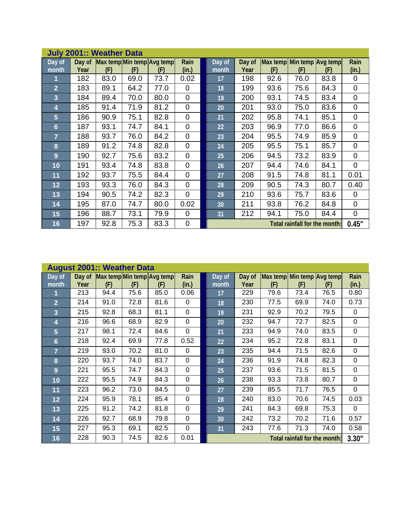|                         |      | <b>July 2001:: Weather Data</b> |      |                                          |                |                 |                |                                   |                               |      |                |
|-------------------------|------|---------------------------------|------|------------------------------------------|----------------|-----------------|----------------|-----------------------------------|-------------------------------|------|----------------|
| Day of<br>month         | Year | (F)                             | (F)  | Day of Max temp Min temp Avg temp<br>(F) | Rain<br>(in.)  | Day of<br>month | Day of<br>Year | Max temp Min temp Avg temp<br>(F) | (F)                           | (F)  | Rain<br>(in.)  |
| 1                       | 182  | 83.0                            | 69.0 | 73.7                                     | 0.02           | 17              | 198            | 92.6                              | 76.0                          | 83.8 | 0              |
| $\overline{2}$          | 183  | 89.1                            | 64.2 | 77.0                                     | 0              | 18              | 199            | 93.6                              | 75.6                          | 84.3 | $\mathbf 0$    |
| $\overline{\mathbf{3}}$ | 184  | 89.4                            | 70.0 | 80.0                                     | $\overline{0}$ | 19              | 200            | 93.1                              | 74.5                          | 83.4 | $\mathbf 0$    |
| 4                       | 185  | 91.4                            | 71.9 | 81.2                                     | $\overline{0}$ | 20              | 201            | 93.0                              | 75.0                          | 83.6 | $\mathbf 0$    |
| $5\phantom{.}$          | 186  | 90.9                            | 75.1 | 82.8                                     | $\Omega$       | 21              | 202            | 95.8                              | 74.1                          | 85.1 | $\mathbf 0$    |
| 6                       | 187  | 93.1                            | 74.7 | 84.1                                     | $\overline{0}$ | 22              | 203            | 96.9                              | 77.0                          | 86.6 | $\mathbf 0$    |
| $\overline{7}$          | 188  | 93.7                            | 76.0 | 84.2                                     | $\Omega$       | 23              | 204            | 95.5                              | 74.9                          | 85.9 | $\mathbf 0$    |
| 8                       | 189  | 91.2                            | 74.8 | 82.8                                     | $\Omega$       | 24              | 205            | 95.5                              | 75.1                          | 85.7 | $\mathbf 0$    |
| 9                       | 190  | 92.7                            | 75.6 | 83.2                                     | $\overline{0}$ | 25              | 206            | 94.5                              | 73.2                          | 83.9 | $\mathbf 0$    |
| 10                      | 191  | 93.4                            | 74.8 | 83.8                                     | $\Omega$       | 26              | 207            | 94.4                              | 74.6                          | 84.1 | $\overline{0}$ |
| 11                      | 192  | 93.7                            | 75.5 | 84.4                                     | $\overline{0}$ | 27              | 208            | 91.5                              | 74.8                          | 81.1 | 0.01           |
| 12                      | 193  | 93.3                            | 76.0 | 84.3                                     | $\overline{0}$ | 28              | 209            | 90.5                              | 74.3                          | 80.7 | 0.40           |
| 13                      | 194  | 90.5                            | 74.2 | 82.3                                     | $\overline{0}$ | 29              | 210            | 93.6                              | 75.7                          | 83.6 | $\mathbf 0$    |
| 14                      | 195  | 87.0                            | 74.7 | 80.0                                     | 0.02           | 30 <sup>°</sup> | 211            | 93.8                              | 76.2                          | 84.8 | 0              |
| 15                      | 196  | 88.7                            | 73.1 | 79.9                                     | $\Omega$       | 31              | 212            | 94.1                              | 75.0                          | 84.4 | $\mathbf 0$    |
| 16                      | 197  | 92.8                            | 75.3 | 83.3                                     | $\mathbf 0$    |                 |                |                                   | Total rainfall for the month: |      | 0.45"          |

| Day of                  |      |      |      | Day of $\left \text{Max templMin temp}\right \text{Avg temp}\right $ | Rain        | Day of | Day of |      |                               | Max temp Min temp Avg temp | Rain        |
|-------------------------|------|------|------|----------------------------------------------------------------------|-------------|--------|--------|------|-------------------------------|----------------------------|-------------|
| month                   | Year | (F)  | (F)  | (F)                                                                  | (in.)       | month  | Year   | (F)  | (F)                           | (F)                        | (in.)       |
|                         | 213  | 94.4 | 75.6 | 85.0                                                                 | 0.06        | 17     | 229    | 79.6 | 73.4                          | 76.5                       | 0.80        |
| $\overline{2}$          | 214  | 91.0 | 72.8 | 81.6                                                                 | 0           | 18     | 230    | 77.5 | 69.9                          | 74.0                       | 0.73        |
| $\overline{\mathbf{3}}$ | 215  | 92.8 | 68.3 | 81.1                                                                 | $\mathbf 0$ | 19     | 231    | 92.9 | 70.2                          | 79.5                       | $\mathbf 0$ |
| 4                       | 216  | 96.6 | 68.9 | 82.9                                                                 | $\mathbf 0$ | 20     | 232    | 94.7 | 72.7                          | 82.5                       | $\mathbf 0$ |
| $5\phantom{.}$          | 217  | 98.1 | 72.4 | 84.6                                                                 | $\mathbf 0$ | 21     | 233    | 94.9 | 74.0                          | 83.5                       | $\mathbf 0$ |
| $6\phantom{1}$          | 218  | 92.4 | 69.9 | 77.8                                                                 | 0.52        | 22     | 234    | 95.2 | 72.8                          | 83.1                       | $\mathbf 0$ |
| $\overline{7}$          | 219  | 93.0 | 70.2 | 81.0                                                                 | $\mathbf 0$ | 23     | 235    | 94.4 | 71.5                          | 82.6                       | $\mathbf 0$ |
| 8                       | 220  | 93.7 | 74.0 | 83.7                                                                 | $\mathbf 0$ | 24     | 236    | 91.9 | 74.8                          | 82.3                       | $\mathbf 0$ |
| 9                       | 221  | 95.5 | 74.7 | 84.3                                                                 | $\mathbf 0$ | 25     | 237    | 93.6 | 71.5                          | 81.5                       | $\Omega$    |
| 10                      | 222  | 95.5 | 74.9 | 84.3                                                                 | $\mathbf 0$ | 26     | 238    | 93.3 | 73.8                          | 80.7                       | $\Omega$    |
| 11                      | 223  | 96.2 | 73.0 | 84.5                                                                 | $\mathbf 0$ | 27     | 239    | 85.5 | 71.7                          | 76.5                       | $\mathbf 0$ |
| 12                      | 224  | 95.9 | 78.1 | 85.4                                                                 | $\mathbf 0$ | 28     | 240    | 83.0 | 70.6                          | 74.5                       | 0.03        |
| 13                      | 225  | 91.2 | 74.2 | 81.8                                                                 | $\mathbf 0$ | 29     | 241    | 84.3 | 69.8                          | 75.3                       | $\Omega$    |
| 14                      | 226  | 92.7 | 68.9 | 79.8                                                                 | $\mathbf 0$ | 30     | 242    | 73.2 | 70.2                          | 71.6                       | 0.57        |
| 15                      | 227  | 95.3 | 69.1 | 82.5                                                                 | $\mathbf 0$ | 31     | 243    | 77.6 | 71.3                          | 74.0                       | 0.58        |
| 16                      | 228  | 90.3 | 74.5 | 82.6                                                                 | 0.01        |        |        |      | Total rainfall for the month: |                            | 3.30"       |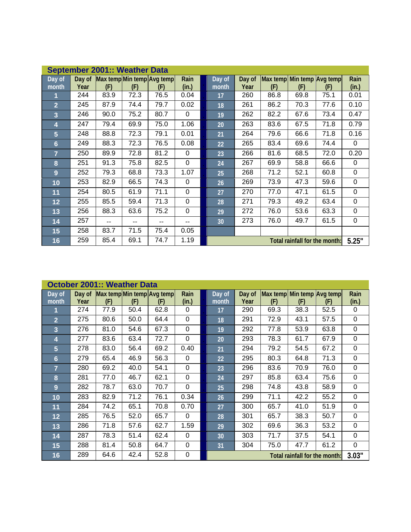|                |        | September 2001:: Weather Data |       |                            |             |        |        |                            |                               |      |          |
|----------------|--------|-------------------------------|-------|----------------------------|-------------|--------|--------|----------------------------|-------------------------------|------|----------|
| Day of         | Day of |                               |       | Max temp Min temp Avg temp | Rain        | Day of | Day of | Max temp Min temp Avg temp |                               |      | Rain     |
| month          | Year   | (F)                           | (F)   | (F)                        | (in.)       | month  | Year   | (F)                        | (F)                           | (F)  | (in.)    |
| 1              | 244    | 83.9                          | 72.3  | 76.5                       | 0.04        | 17     | 260    | 86.8                       | 69.8                          | 75.1 | 0.01     |
| $\overline{2}$ | 245    | 87.9                          | 74.4  | 79.7                       | 0.02        | 18     | 261    | 86.2                       | 70.3                          | 77.6 | 0.10     |
| $\overline{3}$ | 246    | 90.0                          | 75.2  | 80.7                       | 0           | 19     | 262    | 82.2                       | 67.6                          | 73.4 | 0.47     |
| 4              | 247    | 79.4                          | 69.9  | 75.0                       | 1.06        | 20     | 263    | 83.6                       | 67.5                          | 71.8 | 0.79     |
| 5              | 248    | 88.8                          | 72.3  | 79.1                       | 0.01        | 21     | 264    | 79.6                       | 66.6                          | 71.8 | 0.16     |
| 6              | 249    | 88.3                          | 72.3  | 76.5                       | 0.08        | 22     | 265    | 83.4                       | 69.6                          | 74.4 | $\Omega$ |
| $\overline{7}$ | 250    | 89.9                          | 72.8  | 81.2                       | $\Omega$    | 23     | 266    | 81.6                       | 68.5                          | 72.0 | 0.20     |
| 8              | 251    | 91.3                          | 75.8  | 82.5                       | $\mathbf 0$ | 24     | 267    | 69.9                       | 58.8                          | 66.6 | 0        |
| 9              | 252    | 79.3                          | 68.8  | 73.3                       | 1.07        | 25     | 268    | 71.2                       | 52.1                          | 60.8 | 0        |
| 10             | 253    | 82.9                          | 66.5  | 74.3                       | $\mathbf 0$ | 26     | 269    | 73.9                       | 47.3                          | 59.6 | 0        |
| 11             | 254    | 80.5                          | 61.9  | 71.1                       | $\mathbf 0$ | 27     | 270    | 77.0                       | 47.1                          | 61.5 | 0        |
| 12             | 255    | 85.5                          | 59.4  | 71.3                       | $\mathbf 0$ | 28     | 271    | 79.3                       | 49.2                          | 63.4 | 0        |
| 13             | 256    | 88.3                          | 63.6  | 75.2                       | 0           | 29     | 272    | 76.0                       | 53.6                          | 63.3 | 0        |
| 14             | 257    | --                            | $- -$ | $- -$                      | --          | 30     | 273    | 76.0                       | 49.7                          | 61.5 | 0        |
| 15             | 258    | 83.7                          | 71.5  | 75.4                       | 0.05        |        |        |                            |                               |      |          |
| 16             | 259    | 85.4                          | 69.1  | 74.7                       | 1.19        |        |        |                            | Total rainfall for the month: |      | 5.25"    |

|                |        | <b>October 2001:: Weather Data</b> |      |                            |             |                 |                               |                            |      |      |             |
|----------------|--------|------------------------------------|------|----------------------------|-------------|-----------------|-------------------------------|----------------------------|------|------|-------------|
| Day of         | Day of |                                    |      | Max temp Min temp Avg temp | Rain        | Day of          | Day of                        | Max temp Min temp Avg temp |      |      | Rain        |
| month          | Year   | (F)                                | (F)  | (F)                        | (in.)       | month           | Year                          | (F)                        | (F)  | (F)  | (in.)       |
| 1              | 274    | 77.9                               | 50.4 | 62.8                       | $\Omega$    | 17              | 290                           | 69.3                       | 38.3 | 52.5 | 0           |
| $\overline{2}$ | 275    | 80.6                               | 50.0 | 64.4                       | $\mathbf 0$ | 18              | 291                           | 72.9                       | 43.1 | 57.5 | 0           |
| $\overline{3}$ | 276    | 81.0                               | 54.6 | 67.3                       | $\mathbf 0$ | 19              | 292                           | 77.8                       | 53.9 | 63.8 | 0           |
| 4              | 277    | 83.6                               | 63.4 | 72.7                       | $\mathbf 0$ | 20              | 293                           | 78.3                       | 61.7 | 67.9 | 0           |
| 5              | 278    | 83.0                               | 56.4 | 69.2                       | 0.40        | 21              | 294                           | 79.2                       | 54.5 | 67.2 | 0           |
| 6              | 279    | 65.4                               | 46.9 | 56.3                       | $\Omega$    | 22              | 295                           | 80.3                       | 64.8 | 71.3 | 0           |
| $\overline{7}$ | 280    | 69.2                               | 40.0 | 54.1                       | $\mathbf 0$ | 23              | 296                           | 83.6                       | 70.9 | 76.0 | 0           |
| 8              | 281    | 77.0                               | 46.7 | 62.1                       | $\mathbf 0$ | 24              | 297                           | 85.8                       | 63.4 | 75.6 | 0           |
| 9              | 282    | 78.7                               | 63.0 | 70.7                       | $\mathbf 0$ | 25              | 298                           | 74.8                       | 43.8 | 58.9 | 0           |
| 10             | 283    | 82.9                               | 71.2 | 76.1                       | 0.34        | 26              | 299                           | 71.1                       | 42.2 | 55.2 | 0           |
| 11             | 284    | 74.2                               | 65.1 | 70.8                       | 0.70        | 27              | 300                           | 65.7                       | 41.0 | 51.9 | 0           |
| 12             | 285    | 76.5                               | 52.0 | 65.7                       | $\Omega$    | 28              | 301                           | 65.7                       | 38.3 | 50.7 | 0           |
| 13             | 286    | 71.8                               | 57.6 | 62.7                       | 1.59        | 29              | 302                           | 69.6                       | 36.3 | 53.2 | 0           |
| 14             | 287    | 78.3                               | 51.4 | 62.4                       | $\Omega$    | 30 <sup>°</sup> | 303                           | 71.7                       | 37.5 | 54.1 | $\mathbf 0$ |
| 15             | 288    | 81.4                               | 50.8 | 64.7                       | 0           | 31              | 304                           | 75.0                       | 47.7 | 61.2 | $\mathbf 0$ |
| 16             | 289    | 64.6                               | 42.4 | 52.8                       | 0           |                 | Total rainfall for the month: | 3.03"                      |      |      |             |